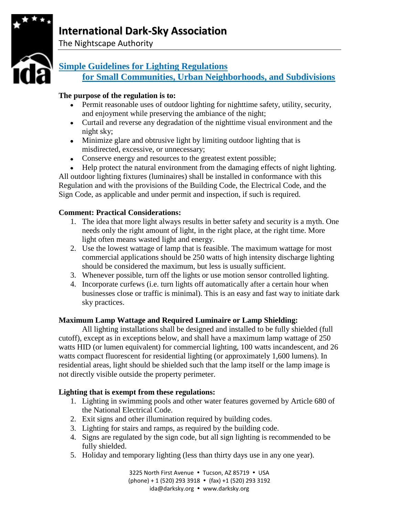# **International Dark-Sky Association**



The Nightscape Authority

# **Simple Guidelines for Lighting Regulations for Small Communities, Urban Neighborhoods, and Subdivisions**

# **The purpose of the regulation is to:**

- Permit reasonable uses of outdoor lighting for nighttime safety, utility, security, and enjoyment while preserving the ambiance of the night;
- Curtail and reverse any degradation of the nighttime visual environment and the night sky;
- Minimize glare and obtrusive light by limiting outdoor lighting that is misdirected, excessive, or unnecessary;
- Conserve energy and resources to the greatest extent possible;
- Help protect the natural environment from the damaging effects of night lighting.

All outdoor lighting fixtures (luminaires) shall be installed in conformance with this Regulation and with the provisions of the Building Code, the Electrical Code, and the Sign Code, as applicable and under permit and inspection, if such is required.

## **Comment: Practical Considerations:**

- 1. The idea that more light always results in better safety and security is a myth. One needs only the right amount of light, in the right place, at the right time. More light often means wasted light and energy.
- 2. Use the lowest wattage of lamp that is feasible. The maximum wattage for most commercial applications should be 250 watts of high intensity discharge lighting should be considered the maximum, but less is usually sufficient.
- 3. Whenever possible, turn off the lights or use motion sensor controlled lighting.
- 4. Incorporate curfews (i.e. turn lights off automatically after a certain hour when businesses close or traffic is minimal). This is an easy and fast way to initiate dark sky practices.

## **Maximum Lamp Wattage and Required Luminaire or Lamp Shielding:**

All lighting installations shall be designed and installed to be fully shielded (full cutoff), except as in exceptions below, and shall have a maximum lamp wattage of 250 watts HID (or lumen equivalent) for commercial lighting, 100 watts incandescent, and 26 watts compact fluorescent for residential lighting (or approximately 1,600 lumens). In residential areas, light should be shielded such that the lamp itself or the lamp image is not directly visible outside the property perimeter.

## **Lighting that is exempt from these regulations:**

- 1. Lighting in swimming pools and other water features governed by Article 680 of the National Electrical Code.
- 2. Exit signs and other illumination required by building codes.
- 3. Lighting for stairs and ramps, as required by the building code.
- 4. Signs are regulated by the sign code, but all sign lighting is recommended to be fully shielded.
- 5. Holiday and temporary lighting (less than thirty days use in any one year).

3225 North First Avenue . Tucson, AZ 85719 . USA  $(phone) + 1 (520) 293 3918$  •  $(fax) +1 (520) 293 3192$ ida@darksky.org • www.darksky.org